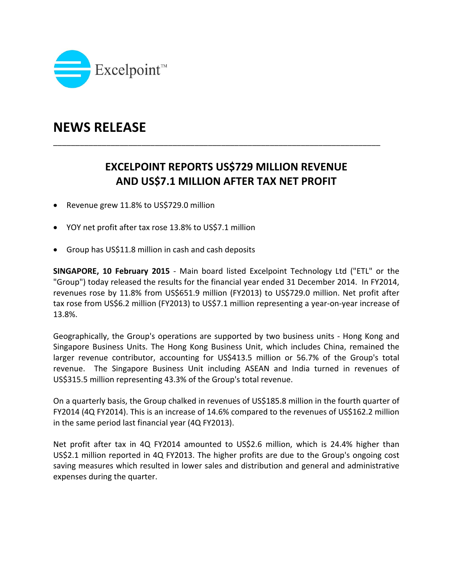

## **NEWS RELEASE**

## **EXCELPOINT REPORTS US\$729 MILLION REVENUE AND US\$7.1 MILLION AFTER TAX NET PROFIT**

\_\_\_\_\_\_\_\_\_\_\_\_\_\_\_\_\_\_\_\_\_\_\_\_\_\_\_\_\_\_\_\_\_\_\_\_\_\_\_\_\_\_\_\_\_\_\_\_\_\_\_\_\_\_\_\_\_\_\_\_\_\_\_\_\_\_\_\_\_\_\_\_\_\_

- Revenue grew 11.8% to US\$729.0 million
- YOY net profit after tax rose 13.8% to US\$7.1 million
- Group has US\$11.8 million in cash and cash deposits

**SINGAPORE, 10 February 2015** ‐ Main board listed Excelpoint Technology Ltd ("ETL" or the "Group") today released the results for the financial year ended 31 December 2014. In FY2014, revenues rose by 11.8% from US\$651.9 million (FY2013) to US\$729.0 million. Net profit after tax rose from US\$6.2 million (FY2013) to US\$7.1 million representing a year‐on‐year increase of 13.8%.

Geographically, the Group's operations are supported by two business units ‐ Hong Kong and Singapore Business Units. The Hong Kong Business Unit, which includes China, remained the larger revenue contributor, accounting for US\$413.5 million or 56.7% of the Group's total revenue. The Singapore Business Unit including ASEAN and India turned in revenues of US\$315.5 million representing 43.3% of the Group's total revenue.

On a quarterly basis, the Group chalked in revenues of US\$185.8 million in the fourth quarter of FY2014 (4Q FY2014). This is an increase of 14.6% compared to the revenues of US\$162.2 million in the same period last financial year (4Q FY2013).

Net profit after tax in 4Q FY2014 amounted to US\$2.6 million, which is 24.4% higher than US\$2.1 million reported in 4Q FY2013. The higher profits are due to the Group's ongoing cost saving measures which resulted in lower sales and distribution and general and administrative expenses during the quarter.